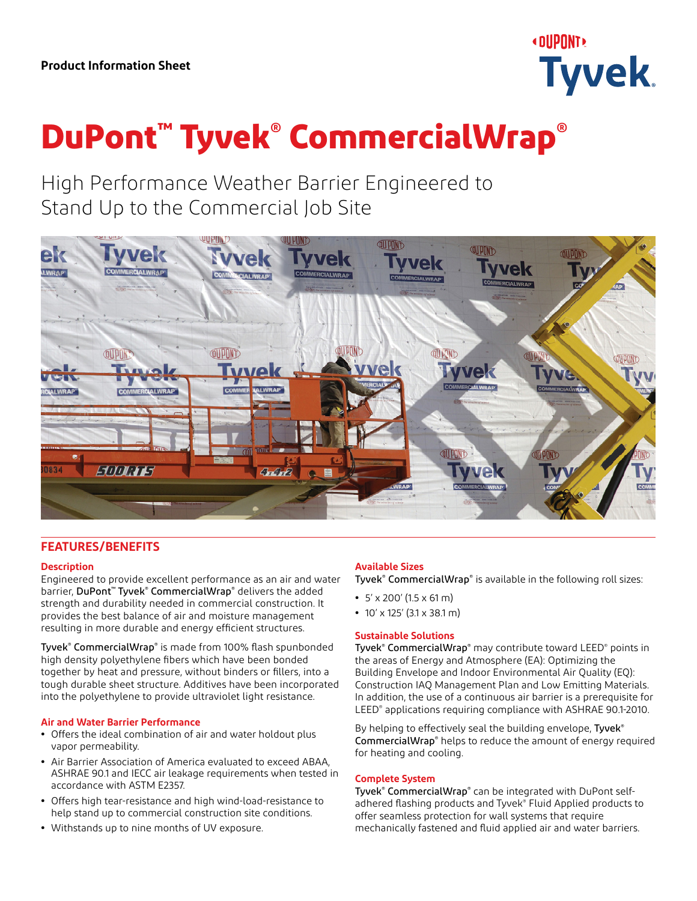

# **DuPont™ Tyvek® CommercialWrap®**

High Performance Weather Barrier Engineered to Stand Up to the Commercial Job Site



## **FEATURES/BENEFITS**

## **Description**

Engineered to provide excellent performance as an air and water barrier, DuPont™ Tyvek® CommercialWrap® delivers the added strength and durability needed in commercial construction. It provides the best balance of air and moisture management resulting in more durable and energy efficient structures.

Tyvek® CommercialWrap® is made from 100% flash spunbonded high density polyethylene fibers which have been bonded together by heat and pressure, without binders or fillers, into a tough durable sheet structure. Additives have been incorporated into the polyethylene to provide ultraviolet light resistance.

#### **Air and Water Barrier Performance**

- **•** Offers the ideal combination of air and water holdout plus vapor permeability.
- **•** Air Barrier Association of America evaluated to exceed ABAA, ASHRAE 90.1 and IECC air leakage requirements when tested in accordance with ASTM E2357.
- **•** Offers high tear-resistance and high wind-load-resistance to help stand up to commercial construction site conditions.
- **•** Withstands up to nine months of UV exposure.

## **Available Sizes**

Tyvek® CommercialWrap® is available in the following roll sizes:

- **•** 5' x 200' (1.5 x 61 m)
- **•** 10' x 125' (3.1 x 38.1 m)

## **Sustainable Solutions**

Tyvek® CommercialWrap® may contribute toward LEED® points in the areas of Energy and Atmosphere (EA): Optimizing the Building Envelope and Indoor Environmental Air Quality (EQ): Construction IAQ Management Plan and Low Emitting Materials. In addition, the use of a continuous air barrier is a prerequisite for LEED® applications requiring compliance with ASHRAE 90.1-2010.

By helping to effectively seal the building envelope, Tyvek<sup>®</sup> CommercialWrap<sup>®</sup> helps to reduce the amount of energy required for heating and cooling.

#### **Complete System**

Tyvek® CommercialWrap® can be integrated with DuPont selfadhered flashing products and Tyvek® Fluid Applied products to offer seamless protection for wall systems that require mechanically fastened and fluid applied air and water barriers.